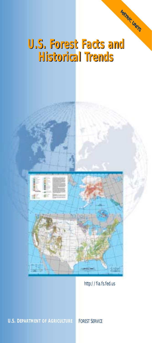# **U.S. Forest Facts and U.S. Forest Facts and Historical Trends Historical Trends**

**METRIC UNITS**



#### http://fia.fs.fed.us

#### **U.S. DEPARTMENT OF AGRICULTURE** FOREST SERVICE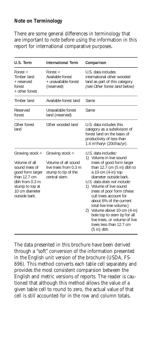#### **Note on Terminology**

There are some general differences in terminology that are important to note before using the information in this report for international comparative purposes.

| U.S. Term                                                                                                                                                                          | <b>International Term</b>                                                                               | Comparison                                                                                                                                                                                                                                                                                                                                                                                                                                                                                   |
|------------------------------------------------------------------------------------------------------------------------------------------------------------------------------------|---------------------------------------------------------------------------------------------------------|----------------------------------------------------------------------------------------------------------------------------------------------------------------------------------------------------------------------------------------------------------------------------------------------------------------------------------------------------------------------------------------------------------------------------------------------------------------------------------------------|
| $Forest =$<br>Timber land<br>+ reserved<br>forest<br>+ other forest                                                                                                                | $Forest =$<br>Available forest<br>+ unavailable forest<br>(reserved)                                    | U.S. data includes<br>international other wooded<br>land as part of this category.<br>(see Other forest land below)                                                                                                                                                                                                                                                                                                                                                                          |
| Timber land                                                                                                                                                                        | Available forest land                                                                                   | Same                                                                                                                                                                                                                                                                                                                                                                                                                                                                                         |
| Reserved<br>forest                                                                                                                                                                 | Unavailable forest<br>land (reserved)                                                                   | Same                                                                                                                                                                                                                                                                                                                                                                                                                                                                                         |
| Other forest<br>land                                                                                                                                                               | Other wooded land                                                                                       | U.S. data includes this<br>category as a subdivision of<br>forest land on the basis of<br>productivity of less than<br>1.4 m <sup>3</sup> /ha/yr (20cf/ac/yr).                                                                                                                                                                                                                                                                                                                               |
| Growing stock =<br>Volume of all<br>sound trees of<br>good form larger<br>than $12.7 \text{ cm}$<br>dbh from $0.3 \text{ m}$<br>stump to top at<br>10 cm diameter<br>outside bark. | Growing stock =<br>Volume of all sound<br>live trees from 0.3 m<br>stump to tip of the<br>central stem. | U.S. data includes:<br>1) Volume in live sound<br>trees of good form larger<br>than $12.7 \text{ cm}$ (5 in) dbh to<br>a 10-cm (4-in) top<br>diameter outside bark.<br>U.S. data does not include:<br>1) Volume of live sound<br>trees of poor form (these<br>cull trees account for<br>about 6% of the current<br>total live tree volume.)<br>2) Volume above 10-cm (4-in)<br>bole top to stem tip for all<br>live trees, or volume of live<br>trees less than 12.7 cm<br>$(5 \infty)$ dbh. |

The data presented in this brochure have been derived through a "soft" conversion of the information presented in the English unit version of the brochure (USDA, FS-696). This method converts each table cell separately and provides the most consistent comparsion between the English and metric versions of reports. The reader is cautioned that although this method allows the value of a given table cell to round to zero, the actual value of that cell is still accounted for in the row and column totals.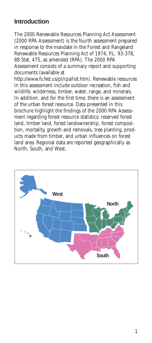### **Introduction**

The 2000 Renewable Resources Planning Act Assessment (2000 RPA Assessment) is the fourth assessment prepared in response to the mandate in the Forest and Rangeland Renewable Resources Planning Act of 1974, P.L. 93-378, 88 Stat. 475, as amended (RPA). The 2000 RPA Assessment consists of a summary report and supporting documents (available at

http://www.fs.fed.us/pl/rpa/list.htm). Renewable resources in this assessment include outdoor recreation, fish and wildlife, wilderness, timber, water, range, and minerals. In addition, and for the first time, there is an assessment of the urban forest resource. Data presented in this brochure highlight the findings of the 2000 RPA Assessment regarding forest resource statistics: reserved forest land, timber land, forest landownership, forest composition, mortality, growth and removals, tree planting, products made from timber, and urban influences on forest land area. Regional data are reported geographically as North, South, and West.

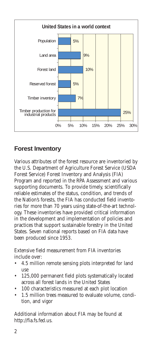

### **Forest Inventory**

Various attributes of the forest resource are inventoried by the U.S. Department of Agriculture Forest Service (USDA Forest Service) Forest Inventory and Analysis (FIA) Program and reported in the RPA Assessment and various supporting documents. To provide timely, scientifically reliable estimates of the status, condition, and trends of the Nation's forests, the FIA has conducted field inventories for more than 70 years using state-of-the-art technology. These inventories have provided critical information in the development and implementation of policies and practices that support sustainable forestry in the United States. Seven national reports based on FIA data have been produced since 1953.

Extensive field measurement from FIA inventories include over:

- 4.5 million remote sensing plots interpreted for land use
- 125,000 permanent field plots systematically located across all forest lands in the United States
- 100 characteristics measured at each plot location
- 1.5 million trees measured to evaluate volume, condition, and vigor

Additional information about FIA may be found at http://fia.fs.fed.us.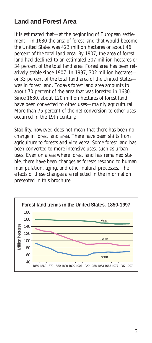## **Land and Forest Area**

It is estimated that—at the beginning of European settlement—in 1630 the area of forest land that would become the United States was 423 million hectares or about 46 percent of the total land area. By 1907, the area of forest land had declined to an estimated 307 million hectares or 34 percent of the total land area. Forest area has been relatively stable since 1907. In 1997, 302 million hectares or 33 percent of the total land area of the United States was in forest land. Today's forest land area amounts to about 70 percent of the area that was forested in 1630. Since 1630, about 120 million hectares of forest land have been converted to other uses—mainly agricultural. More than 75 percent of the net conversion to other uses occurred in the 19th century.

Stability, however, does not mean that there has been no change in forest land area. There have been shifts from agriculture to forests and vice versa. Some forest land has been converted to more intensive uses, such as urban uses. Even on areas where forest land has remained stable, there have been changes as forests respond to human manipulation, aging, and other natural processes. The effects of these changes are reflected in the information presented in this brochure.

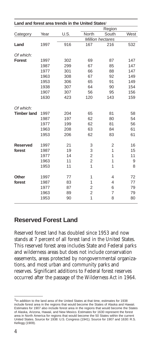| Land and forest area trends in the United States <sup>1</sup> |      |      |                         |       |      |
|---------------------------------------------------------------|------|------|-------------------------|-------|------|
|                                                               |      |      | Region                  |       |      |
| Category                                                      | Year | U.S. | North                   | South | West |
|                                                               |      |      | <b>Million hectares</b> |       |      |
| Land                                                          | 1997 | 916  | 167                     | 216   | 532  |
| Of which:                                                     |      |      |                         |       |      |
| <b>Forest</b>                                                 | 1997 | 302  | 69                      | 87    | 147  |
|                                                               | 1987 | 299  | 67                      | 85    | 147  |
|                                                               | 1977 | 301  | 66                      | 88    | 147  |
|                                                               | 1963 | 308  | 67                      | 92    | 149  |
|                                                               | 1953 | 306  | 65                      | 91    | 149  |
|                                                               | 1938 | 307  | 64                      | 90    | 154  |
|                                                               | 1907 | 307  | 56                      | 95    | 156  |
|                                                               | 1630 | 423  | 120                     | 143   | 159  |
| Of which:                                                     |      |      |                         |       |      |
| <b>Timber land</b>                                            | 1997 | 204  | 65                      | 81    | 58   |
|                                                               | 1987 | 197  | 62                      | 80    | 54   |
|                                                               | 1977 | 199  | 62                      | 81    | 56   |
|                                                               | 1963 | 208  | 63                      | 84    | 61   |
|                                                               | 1953 | 206  | 62                      | 83    | 61   |
| <b>Reserved</b>                                               | 1997 | 21   | 3                       | 2     | 16   |
| forest                                                        | 1987 | 19   | 3                       | 1     | 15   |
|                                                               | 1977 | 14   | $\overline{2}$          | 1     | 11   |
|                                                               | 1963 | 11   | $\overline{2}$          | 1     | 9    |
|                                                               | 1953 | 11   | $\mathbf{1}$            | 1     | 8    |
| Other                                                         | 1997 | 77   | 1                       | 4     | 72   |
| forest                                                        | 1987 | 83   | 1                       | 4     | 77   |
|                                                               | 1977 | 87   | 2                       | 6     | 79   |
|                                                               | 1963 | 89   | 2                       | 7     | 79   |
|                                                               | 1953 | 90   | 1                       | 8     | 80   |

### **Reserved Forest Land**

Reserved forest land has doubled since 1953 and now stands at 7 percent of all forest land in the United States. This reserved forest area includes State and Federal parks and wilderness areas but does not include conservation easements, areas protected by nongovernmental organizations, and most urban and community parks and reserves. Significant additions to Federal forest reserves occurred after the passage of the Wilderness Act in 1964.

<sup>&</sup>lt;sup>1</sup>In addition to the land area of the United States at that time, estimates for 1938 include forest area in the regions that would become the States of Alaska and Hawaii. Estimates for 1907 also include forest area in the regions that would become the States of Alaska, Arizona, Hawaii, and New Mexico. Estimates for 1630 represent the forest area in North America for regions that would become the 50 States within the current United States. Source for 1938: U.S. Congress (1941). Source for 1907 and 1630: R.S. Kellogg (1909).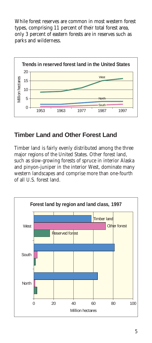While forest reserves are common in most western forest types, comprising 11 percent of their total forest area, only 3 percent of eastern forests are in reserves such as parks and wilderness.



## **Timber Land and Other Forest Land**

Timber land is fairly evenly distributed among the three major regions of the United States. Other forest land, such as slow-growing forests of spruce in interior Alaska and pinyon-juniper in the interior West, dominate many western landscapes and comprise more than one-fourth of all U.S. forest land.

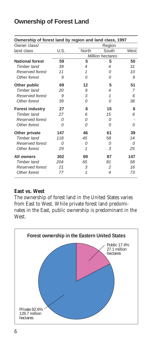| Ownership of forest land by region and land class, 1997 |          |       |                          |      |  |
|---------------------------------------------------------|----------|-------|--------------------------|------|--|
| Owner class/                                            |          |       | Region                   |      |  |
| land class                                              | U.S.     | North | South                    | West |  |
|                                                         |          |       | <b>Million hectares</b>  |      |  |
| <b>National forest</b>                                  | 59       | 5     | 5                        | 50   |  |
| <b>Timber land</b>                                      | 39       | 4     | 4                        | 31   |  |
| Reserved forest                                         | 11       | 1     | Ω                        | 10   |  |
| Other forest                                            | 9        | Ω     | Ω                        | 9    |  |
| Other public                                            | 69       | 12    | 5                        | 51   |  |
| <b>Timber land</b>                                      | 20       | 9     | 4                        | 7    |  |
| Reserved forest                                         | 9        | 3     | 1                        | 6    |  |
| Other forest                                            | 39       | 0     | 0                        | 38   |  |
| <b>Forest industry</b>                                  | 27       | 6     | 15                       | 6    |  |
| Timber land                                             | 27       | 6     | 15                       | 6    |  |
| Reserved forest                                         | $\Omega$ | Ω     | 0                        |      |  |
| Other forest                                            | $\Omega$ | 0     | Ω                        | 0    |  |
| Other private                                           | 147      | 46    | 61                       | 39   |  |
| <b>Timber land</b>                                      | 118      | 45    | 58                       | 14   |  |
| Reserved forest                                         | $\Omega$ | 0     | 0                        | Ω    |  |
| Other forest                                            | 29       | 1     | 3                        | 25   |  |
| All owners                                              | 302      | 69    | 87                       | 147  |  |
| <b>Timber land</b>                                      | 204      | 65    | 81                       | 58   |  |
| Reserved forest                                         | 21       | 3     | 2                        | 16   |  |
| Other forest                                            | 77       | 1     | $\overline{\mathcal{A}}$ | 73   |  |

### **Ownership of Forest Land**

#### **East vs. West**

The ownership of forest land in the United States varies from East to West. While private forest land predominates in the East, public ownership is predominant in the West.

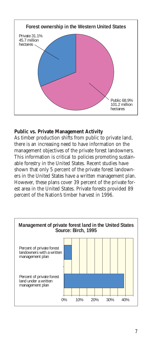

#### **Public vs. Private Management Activity**

As timber production shifts from public to private land, there is an increasing need to have information on the management objectives of the private forest landowners. This information is critical to policies promoting sustainable forestry in the United States. Recent studies have shown that only 5 percent of the private forest landowners in the United States have a written management plan. However, these plans cover 39 percent of the private forest area in the United States. Private forests provided 89 percent of the Nation's timber harvest in 1996.

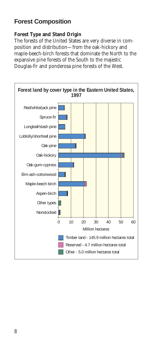# **Forest Composition**

#### **Forest Type and Stand Origin**

The forests of the United States are very diverse in composition and distribution—from the oak-hickory and maple-beech-birch forests that dominate the North to the expansive pine forests of the South to the majestic Douglas-fir and ponderosa pine forests of the West.

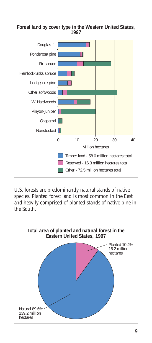

U.S. forests are predominantly natural stands of native species. Planted forest land is most common in the East and heavily comprised of planted stands of native pine in the South.

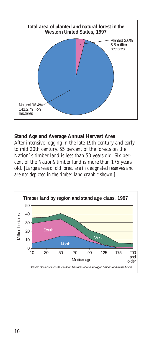

#### **Stand Age and Average Annual Harvest Area**

After intensive logging in the late 19th century and early to mid 20th century, 55 percent of the forests on the Nation' s timber land is less than 50 years old. Six percent of the Nation's timber land is more than 175 years old. *[Large areas of old forest are in designated reserves and are not depicted in the timber land graphic shown.*]

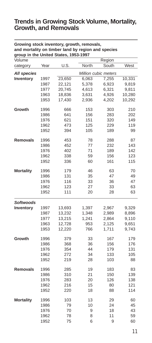### **Trends in Growing Stock Volume, Mortality, Growth, and Removals**

| group in the United States, 1953-1997<br>Volume |      |        |                      | Region |        |  |
|-------------------------------------------------|------|--------|----------------------|--------|--------|--|
| category                                        | Year | U.S.   | North                | South  | West   |  |
| <b>All species</b>                              |      |        | Million cubic meters |        |        |  |
| Inventory                                       | 1997 | 23,650 | 6,063                | 7,255  | 10,331 |  |
|                                                 | 1987 | 22,121 | 5,378                | 6,923  | 9,819  |  |
|                                                 | 1977 | 20,745 | 4,613                | 6,321  | 9,811  |  |
|                                                 | 1963 | 18,836 | 3,631                | 4,926  | 10,280 |  |
|                                                 | 1953 | 17,430 | 2,936                | 4,202  | 10,292 |  |
| Growth                                          | 1996 | 666    | 153                  | 303    | 210    |  |
|                                                 | 1986 | 641    | 156                  | 283    | 202    |  |
|                                                 | 1976 | 621    | 151                  | 320    | 149    |  |
|                                                 | 1962 | 473    | 125                  | 229    | 119    |  |
|                                                 | 1952 | 394    | 105                  | 189    | 99     |  |
| <b>Removals</b>                                 | 1996 | 453    | 78                   | 288    | 87     |  |
|                                                 | 1986 | 452    | 77                   | 232    | 143    |  |
|                                                 | 1976 | 402    | 71                   | 189    | 142    |  |
|                                                 | 1962 | 338    | 59                   | 156    | 123    |  |
|                                                 | 1952 | 336    | 60                   | 161    | 115    |  |
| <b>Mortality</b>                                | 1996 | 179    | 46                   | 63     | 70     |  |
|                                                 | 1986 | 131    | 35                   | 47     | 49     |  |
|                                                 | 1976 | 116    | 33                   | 36     | 47     |  |
|                                                 | 1962 | 123    | 27                   | 33     | 63     |  |
|                                                 | 1952 | 111    | 20                   | 28     | 63     |  |
| Softwoods                                       |      |        |                      |        |        |  |
| Inventory                                       | 1997 | 13,693 | 1,397                | 2,967  | 9,329  |  |
|                                                 | 1987 | 13,232 | 1,348                | 2,989  | 8,896  |  |
|                                                 | 1977 | 13,215 | 1,241                | 2,864  | 9,110  |  |
|                                                 | 1963 | 12,728 | 953                  | 2,125  | 9,651  |  |
|                                                 | 1953 | 12,220 | 766                  | 1,711  | 9,743  |  |
| Growth                                          | 1996 | 379    | 33                   | 167    | 179    |  |
|                                                 | 1986 | 368    | 36                   | 156    | 176    |  |
|                                                 | 1976 | 354    | 44                   | 179    | 131    |  |
|                                                 | 1962 | 272    | 34                   | 133    | 105    |  |
|                                                 | 1952 | 219    | 28                   | 103    | 88     |  |
| <b>Removals</b>                                 | 1996 | 285    | 19                   | 183    | 83     |  |
|                                                 | 1986 | 310    | 21                   | 150    | 139    |  |
|                                                 | 1976 | 283    | 20                   | 126    | 138    |  |
|                                                 | 1962 | 216    | 15                   | 80     | 121    |  |
|                                                 | 1952 | 220    | 18                   | 88     | 114    |  |
| <b>Mortality</b>                                | 1996 | 103    | 13                   | 29     | 60     |  |
|                                                 | 1986 | 79     | 10                   | 24     | 45     |  |
|                                                 | 1976 | 70     | 9                    | 18     | 43     |  |
|                                                 | 1962 | 78     | 8                    | 11     | 59     |  |
|                                                 | 1952 | 75     | 6                    | 9      | 60     |  |

### **Growing stock inventory, growth, removals, and mortality on timber land by region and species**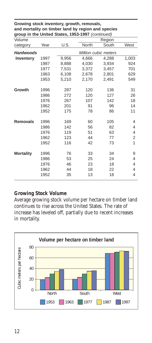| group in the United States, 1953-1997 (continued) |      |                      |              |       |       |
|---------------------------------------------------|------|----------------------|--------------|-------|-------|
| Volume                                            |      |                      | Region       |       |       |
| category                                          | Year | U.S.                 | <b>North</b> | South | West  |
| <b>Hardwoods</b>                                  |      | Million cubic meters |              |       |       |
| Inventory                                         | 1997 | 9,956                | 4.666        | 4.288 | 1,003 |
|                                                   | 1987 | 8,888                | 4,030        | 3,934 | 924   |
|                                                   | 1977 | 7,531                | 3,372        | 3,457 | 701   |
|                                                   | 1963 | 6,108                | 2,678        | 2,801 | 629   |
|                                                   | 1953 | 5,210                | 2,170        | 2,491 | 549   |
| Growth                                            | 1996 | 287                  | 120          | 136   | 31    |
|                                                   | 1986 | 272                  | 120          | 127   | 26    |
|                                                   | 1976 | 267                  | 107          | 142   | 18    |
|                                                   | 1962 | 201                  | 91           | 96    | 14    |
|                                                   | 1952 | 175                  | 78           | 86    | 11    |
| <b>Removals</b>                                   | 1996 | 169                  | 60           | 105   | 4     |
|                                                   | 1986 | 142                  | 56           | 82    | 4     |
|                                                   | 1976 | 119                  | 51           | 63    | 4     |
|                                                   | 1962 | 123                  | 44           | 77    | 2     |
|                                                   | 1952 | 116                  | 42           | 73    | 1     |
| <b>Mortality</b>                                  | 1996 | 76                   | 33           | 34    | 9     |
|                                                   | 1986 | 53                   | 25           | 24    | 4     |
|                                                   | 1976 | 46                   | 23           | 18    | 4     |
|                                                   | 1962 | 44                   | 18           | 22    | 4     |
|                                                   | 1952 | 35                   | 13           | 18    | 4     |
|                                                   |      |                      |              |       |       |

**Growing stock inventory, growth, removals, and mortality on timber land by region and species** 

#### **Growing Stock Volume**

Average growing stock volume per hectare on timber land continues to rise across the United States. The rate of increase has leveled off, partially due to recent increases in mortality.

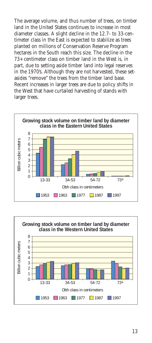The average volume, and thus number of trees, on timber land in the United States continues to increase in most diameter classes. A slight decline in the 12.7- to 33-centimeter class in the East is expected to stabilize as trees planted on millions of Conservation Reserve Program hectares in the South reach this size. The decline in the  $73+$  centimeter class on timber land in the West is, in part, due to setting aside timber land into legal reserves in the 1970's. Although they are not harvested, these setasides "remove" the trees from the timber land base. Recent increases in larger trees are due to policy shifts in the West that have curtailed harvesting of stands with larger trees.



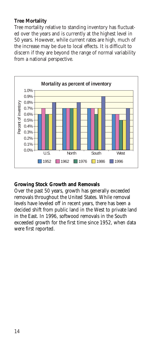#### **Tree Mortality**

Tree mortality relative to standing inventory has fluctuated over the years and is currently at the highest level in 50 years. However, while current rates are high, much of the increase may be due to local effects. It is difficult to discern if they are beyond the range of normal variability from a national perspective.



#### **Growing Stock Growth and Removals**

Over the past 50 years, growth has generally exceeded removals throughout the United States. While removal levels have leveled off in recent years, there has been a decided shift from public land in the West to private land in the East. In 1996, softwood removals in the South exceeded growth for the first time since 1952, when data were first reported.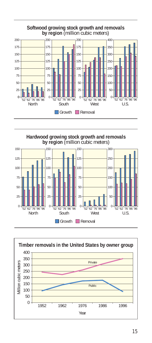

**Hardwood growing stock growth and removals by region** (million cubic meters)



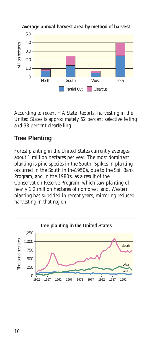

According to recent FIA State Reports, harvesting in the United States is approximately 62 percent selective felling and 38 percent clearfelling.

# **Tree Planting**

Forest planting in the United States currently averages about 1 million hectares per year. The most dominant planting is pine species in the South. Spikes in planting occurred in the South in the1950's, due to the Soil Bank Program, and in the 1980's, as a result of the Conservation Reserve Program, which saw planting of nearly 1.2 million hectares of nonforest land. Western planting has subsided in recent years, mirroring reduced harvesting in that region.

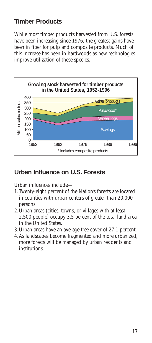# **Timber Products**

While most timber products harvested from U.S. forests have been increasing since 1976, the greatest gains have been in fiber for pulp and composite products. Much of this increase has been in hardwoods as new technologies improve utilization of these species.



### **Urban Influence on U.S. Forests**

Urban influences include—

- 1.Twenty-eight percent of the Nation's forests are located in counties with urban centers of greater than 20,000 persons.
- 2.Urban areas (cities, towns, or villages with at least 2,500 people) occupy 3.5 percent of the total land area in the United States.
- 3.Urban areas have an average tree cover of 27.1 percent.
- 4.As landscapes become fragmented and more urbanized, more forests will be managed by urban residents and institutions.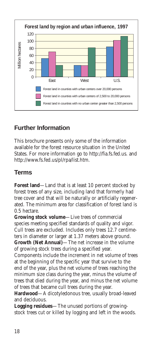

# **Further Information**

This brochure presents only some of the information available for the forest resource situation in the United States. For more information go to http://fia.fs.fed.us. and http://www.fs.fed.us/pl/rpa/list.htm.

# **Terms**

**Forest land—Land that is at least 10 percent stocked by** forest trees of any size, including land that formerly had tree cover and that will be naturally or artificially regenerated. The minimum area for classification of forest land is 0.5 hectare.

**Growing stock volume**—Live trees of commercial species meeting specified standards of quality and vigor. Cull trees are excluded. Includes only trees 12.7 centimeters in diameter or larger at 1.37 meters above ground. **Growth (Net Annual)**—The net increase in the volume of growing stock trees during a specified year.

Components include the increment in net volume of trees at the beginning of the specific year that survive to the end of the year, plus the net volume of trees reaching the minimum size class during the year, minus the volume of trees that died during the year, and minus the net volume of trees that became cull trees during the year.

**Hardwood**—A dicotyledonous tree, usually broad-leaved and deciduous.

**Logging residues**—The unused portions of growingstock trees cut or killed by logging and left in the woods.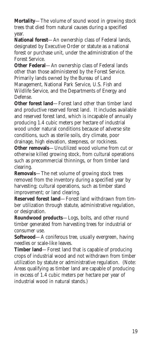**Mortality**—The volume of sound wood in growing stock trees that died from natural causes during a specified year.

**National forest**—An ownership class of Federal lands, designated by Executive Order or statute as a national forest or purchase unit, under the administration of the Forest Service.

**Other Federal**—An ownership class of Federal lands other than those administered by the Forest Service. Primarily lands owned by the Bureau of Land Management, National Park Service, U.S. Fish and

Wildlife Service, and the Departments of Energy and Defense.

**Other forest land**—Forest land other than timber land and productive reserved forest land. It includes available and reserved forest land, which is incapable of annually producing 1.4 cubic meters per hectare of industrial wood under natural conditions because of adverse site conditions, such as sterile soils, dry climate, poor drainage, high elevation, steepness, or rockiness.

**Other removals**—Unutilized wood volume from cut or otherwise killed growing stock, from cultural operations such as precommercial thinnings, or from timber land clearing.

**Removals**—The net volume of growing stock trees removed from the inventory during a specified year by harvesting; cultural operations, such as timber stand improvement; or land clearing.

**Reserved forest land**—Forest land withdrawn from timber utilization through statute, administrative regulation, or designation.

**Roundwood products**—Logs, bolts, and other round timber generated from harvesting trees for industrial or consumer use.

**Softwood**—A coniferous tree, usually evergreen, having needles or scale-like leaves.

**Timber land**—Forest land that is capable of producing crops of industrial wood and not withdrawn from timber utilization by statute or administrative regulation. (Note: Areas qualifying as timber land are capable of producing in excess of 1.4 cubic meters per hectare per year of industrial wood in natural stands.)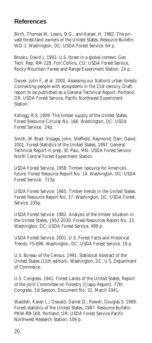### **References**

Birch, Thomas W., Lewis, D.G., and Kaiser, H. 1982. The private forest-land owners of the United States. Resource Bulletin. WO-1. Washington, DC: USDA Forest Service. 64 p.

Brooks, David J. 1993. U.S. forest in a global context. Gen. Tech. Rep. RM-228. Fort Collins, CO: USDA Forest Service, Rocky Mountain Forest and Range Experiment Station. 24 p.

Dwyer, John F., et al. 2000. Assessing our Nation's urban forests: Connecting people with ecosystems in the 21st century. Draft report to be published as a General Technical Report. Portland, OR: USDA Forest Service, Pacific Northwest Experiment Station.

Kellogg, R.S. 1909. The timber supply of the United States. Forest Resource Circular No. 166. Washington, DC: USDA Forest Service. 24p.

Smith, W. Brad; Vissage, John; Sheffield, Raymond; Darr, David. 2001. Forest Statistics of the United States, 1997. General Technical Report in prep. St. Paul, MN: USDA Forest Service North Central Forest Experiment Station.

USDA Forest Service. 1958. Timber resource for America's future. Forest Resource Report No. 14. Washington, DC: USDA Forest Service. 713p.

USDA Forest Service. 1965. Timber trends in the United States. Forest Resource Report No. 17. Washington, DC: USDA Forest Service. 235p.

USDA Forest Service. 1982. Analysis of the timber situation in the United States, 1952-2030. Forest Resources Report No. 23. Washington, DC: USDA Forest Service. 499 p.

USDA Forest Service. 2001. U.S. Forest Facts and Historical Trends. FS-696. Washington, DC: USDA Forest Service. 18 p.

U.S. Bureau of the Census. 1991. Statistical Abstract of the United States (11th edition). Washington, DC: U.S. Department of Commerce.

U.S. Congress. 1941. Forest Lands of the United States, Report of the Joint Committee on Forestry (Clapp Report). 77th Congress, 1st Session, Document No. 32, March 1941.

Waddell, Karen L.; Oswald, Daniel D.; Powell, Douglas S. 1989. Forest statistics of the United States, 1987. Resource Bulletin. PNW-RB-168. Portland, OR: USDA Forest Service Pacific Northwest Research Station. 106 p.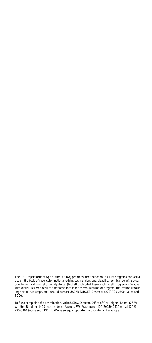The U.S. Department of Agriculture (USDA) prohibits discrimination in all its programs and activities on the basis of race, color, national origin, sex, religion, age, disability, political beliefs, sexual orientation, and marital or family status. (Not all prohibited bases apply to all programs.) Persons with disabilities who require alternative means for communication of program information (Braille, large print, audiotape, etc.) should contact USDA's TARGET Center at (202) 720-2600 (voice and TDD).

To file a complaint of discrimination, write USDA, Director, Office of Civil Rights, Room 326-W, Whitten Building, 1400 Independence Avenue, SW, Washington, DC 20250-9410 or call (202) 720-5964 (voice and TDD). USDA is an equal opportunity provider and employer.